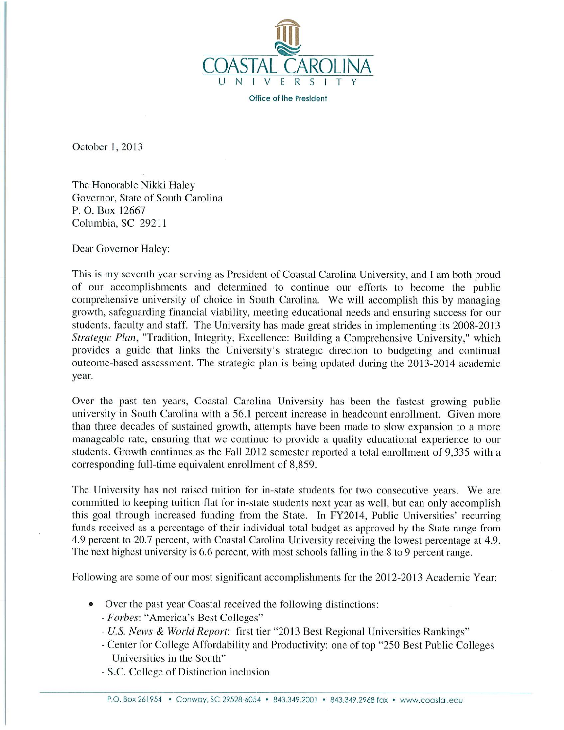

Office of the President

October 1, 2013

The Honorable Nikki Haley Governor, State of South Carolina P. O. Box 12667 Columbia, SC 29211

Dear Governor Haley:

This is my seventh year serving as President of Coastal Carolina University, and I am both proud of our accomplishments and determined to continue our efforts to become the public comprehensive university of choice in South Carolina. We will accomplish this by managing growth, safeguarding financial viability, meeting educational needs and ensuring success for our students, faculty and staff. The University has made great strides in implementing its 2008-2013 Strategic Plan, "Tradition, Integrity, Excellence: Building a Comprehensive University," which provides a guide that links the University's strategic direction to budgeting and continual outcome-based assessment. The strategic plan is being updated during the 2013-2014 academic year.

Over the past ten years, Coastal Carolina University has been the fastest growing public university in South Carolina with a 56.1 percent increase in headcount enrollment. Given more than three decades of sustained growth, attempts have been made to slow expansion to a more manageable rate, ensuring that we continue to provide a quality educational experience to our students. Growth continues as the Fall 2012 semester reported a total enrollment of 9,335 with a corresponding full-time equivalent enrollment of 8,859.

The University has not raised tuition for in-state students for two consecutive years. We are committed to keeping tuition flat for in-state students next year as well, but can only accomplish this goal through increased funding from the State. In FY2014, Public Universities' recurring funds received as a percentage of their individual total budget as approved by the State range from 4.9 percent to 20.7 percent, with Coastal Carolina University receiving the lowest percentage at 4.9. The next highest university is 6.6 percent, with most schools falling in the 8 to 9 percent range.

Following are some of our most significant accomplishments for the 2012-2013 Academic Year:

- Over the past year Coastal received the following distinctions:
	- Forbes: "America's Best Colleges"
	- U.S. News & World Report: first tier "2013 Best Regional Universities Rankings"
	- Center for College Affordability and Productivity: one of top "250 Best Public Colleges" Universities in the South"
	- S.C. College of Distinction inclusion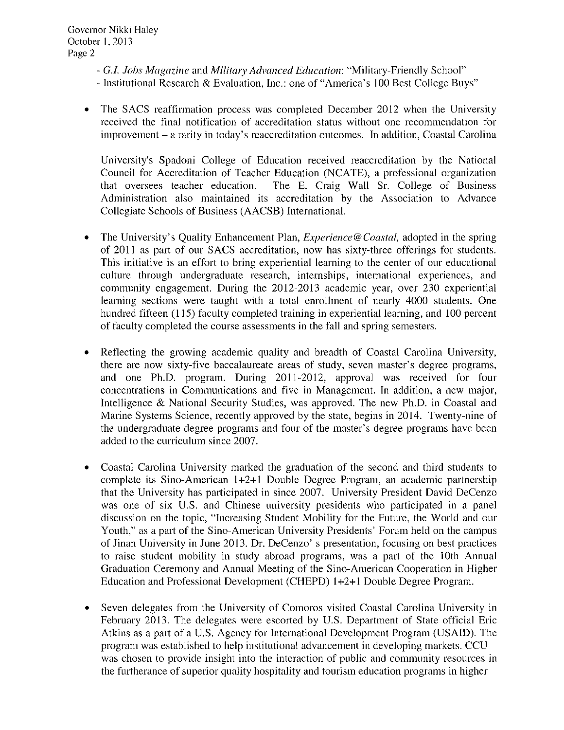- G.I. Jobs Magazine and Military Advanced Education: "Military-Friendly School"
- Institutional Research & Evaluation, Inc.: one of "America's 100 Best College Buys"
- The SACS reaffirmation process was completed December 2012 when the University received the final notification of accreditation status without one recommendation for improvement – a rarity in today's reaccreditation outcomes. In addition, Coastal Carolina

University's Spadoni College of Education received reaccreditation by the National Council for Accreditation of Teacher Education (NCATE), a professional organization that oversees teacher education. The E. Craig Wall Sr. College of Business Administration also maintained its accreditation by the Association to Advance Collegiate Schools of Business (AACSB) International.

- The University's Quality Enhancement Plan, *Experience@Coastal*, adopted in the spring of 2011 as part of our SACS accreditation, now has sixty-three offerings for students. This initiative is an effort to bring experiential learning to the center of our educational culture through undergraduate research, internships, international experiences, and community engagement. During the 2012-2013 academic year, over 230 experiential learning sections were taught with a total enrollment of nearly 4000 students. One hundred fifteen (115) faculty completed training in experiential learning, and 100 percent of faculty completed the course assessments in the fall and spring semesters.
- Reflecting the growing academic quality and breadth of Coastal Carolina University, there are now sixty-five baccalaureate areas of study, seven master's degree programs, and one Ph.D. program. During 2011-2012, approval was received for four concentrations in Communications and five in Management. In addition, a new major, Intelligence & National Security Studies, was approved. The new Ph.D. in Coastal and Marine Systems Science, recently approved by the state, begins in 2014. Twenty-nine of the undergraduate degree programs and four of the master's degree programs have been added to the curriculum since 2007.
- Coastal Carolina University marked the graduation of the second and third students to complete its Sino-American 1+2+1 Double Degree Program, an academic partnership that the University has participated in since 2007. University President David DeCenzo was one of six U.S. and Chinese university presidents who participated in a panel discussion on the topic, "Increasing Student Mobility for the Future, the World and our Youth," as a part of the Sino-American University Presidents' Forum held on the campus of Jinan University in June 2013. Dr. DeCenzo's presentation, focusing on best practices to raise student mobility in study abroad programs, was a part of the 10th Annual Graduation Ceremony and Annual Meeting of the Sino-American Cooperation in Higher Education and Professional Development (CHEPD) 1+2+1 Double Degree Program.
- Seven delegates from the University of Comoros visited Coastal Carolina University in  $\bullet$ February 2013. The delegates were escorted by U.S. Department of State official Eric Atkins as a part of a U.S. Agency for International Development Program (USAID). The program was established to help institutional advancement in developing markets. CCU was chosen to provide insight into the interaction of public and community resources in the furtherance of superior quality hospitality and tourism education programs in higher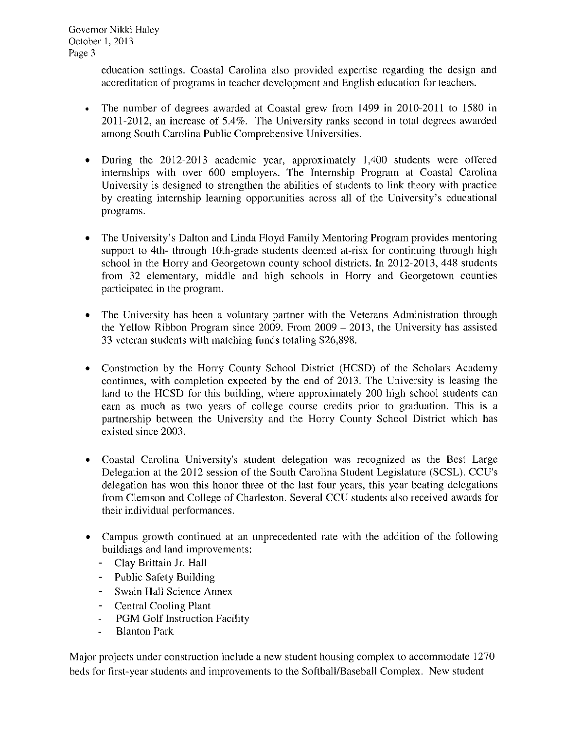Governor Nikki Haley October 1, 2013 Page 3

> education settings. Coastal Carolina also provided expertise regarding the design and accreditation of programs in teacher development and English education for teachers.

- The number of degrees awarded at Coastal grew from 1499 in 2010-2011 to 1580 in  $\bullet$ 2011-2012, an increase of 5.4%. The University ranks second in total degrees awarded among South Carolina Public Comprehensive Universities.
- During the 2012-2013 academic year, approximately 1,400 students were offered  $\bullet$ internships with over 600 employers. The Internship Program at Coastal Carolina University is designed to strengthen the abilities of students to link theory with practice by creating internship learning opportunities across all of the University's educational programs.
- The University's Dalton and Linda Floyd Family Mentoring Program provides mentoring  $\bullet$ support to 4th- through 10th-grade students deemed at-risk for continuing through high school in the Horry and Georgetown county school districts. In 2012-2013, 448 students from 32 elementary, middle and high schools in Horry and Georgetown counties participated in the program.
- The University has been a voluntary partner with the Veterans Administration through  $\bullet$ the Yellow Ribbon Program since  $2009$ . From  $2009 - 2013$ , the University has assisted 33 veteran students with matching funds totaling \$26,898.
- Construction by the Horry County School District (HCSD) of the Scholars Academy  $\bullet$ continues, with completion expected by the end of 2013. The University is leasing the land to the HCSD for this building, where approximately 200 high school students can earn as much as two years of college course credits prior to graduation. This is a partnership between the University and the Horry County School District which has existed since 2003.
- Coastal Carolina University's student delegation was recognized as the Best Large Delegation at the 2012 session of the South Carolina Student Legislature (SCSL). CCU's delegation has won this honor three of the last four years, this year beating delegations from Clemson and College of Charleston. Several CCU students also received awards for their individual performances.
- Campus growth continued at an unprecedented rate with the addition of the following buildings and land improvements:
	- Clay Brittain Jr. Hall
	- Public Safety Building
	- Swain Hall Science Annex
	- Central Cooling Plant
	- PGM Golf Instruction Facility  $\Box$
	- **Blanton Park**  $\overline{a}$

Major projects under construction include a new student housing complex to accommodate 1270 beds for first-year students and improvements to the Softball/Baseball Complex. New student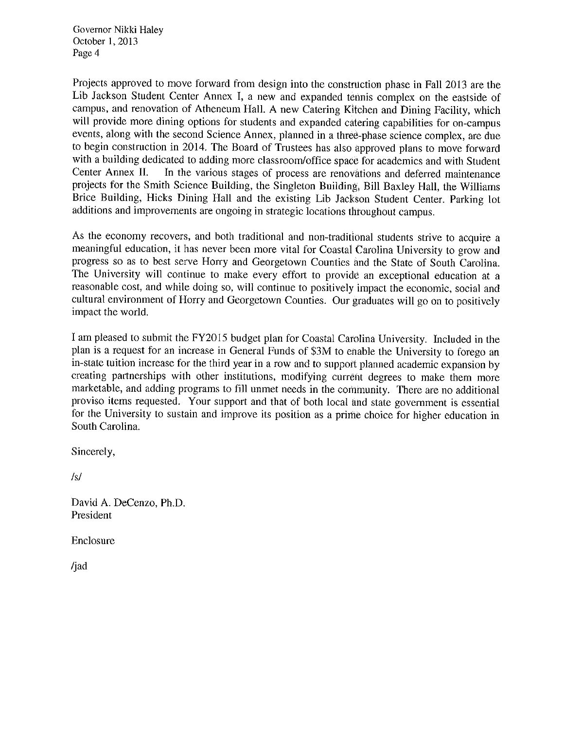Governor Nikki Haley October 1, 2013 Page 4

Projects approved to move forward from design into the construction phase in Fall 2013 are the Lib Jackson Student Center Annex I, a new and expanded tennis complex on the eastside of campus, and renovation of Atheneum Hall. A new Catering Kitchen and Dining Facility, which will provide more dining options for students and expanded catering capabilities for on-campus events, along with the second Science Annex, planned in a three-phase science complex, are due to begin construction in 2014. The Board of Trustees has also approved plans to move forward with a building dedicated to adding more classroom/office space for academics and with Student Center Annex II. In the various stages of process are renovations and deferred maintenance projects for the Smith Science Building, the Singleton Building, Bill Baxley Hall, the Williams Brice Building, Hicks Dining Hall and the existing Lib Jackson Student Center. Parking lot additions and improvements are ongoing in strategic locations throughout campus.

As the economy recovers, and both traditional and non-traditional students strive to acquire a meaningful education, it has never been more vital for Coastal Carolina University to grow and progress so as to best serve Horry and Georgetown Counties and the State of South Carolina. The University will continue to make every effort to provide an exceptional education at a reasonable cost, and while doing so, will continue to positively impact the economic, social and cultural environment of Horry and Georgetown Counties. Our graduates will go on to positively impact the world.

I am pleased to submit the FY2015 budget plan for Coastal Carolina University. Included in the plan is a request for an increase in General Funds of \$3M to enable the University to forego an in-state tuition increase for the third year in a row and to support planned academic expansion by creating partnerships with other institutions, modifying current degrees to make them more marketable, and adding programs to fill unmet needs in the community. There are no additional proviso items requested. Your support and that of both local and state government is essential for the University to sustain and improve its position as a prime choice for higher education in South Carolina.

Sincerely,

 $/s/$ 

David A. DeCenzo, Ph.D. President

Enclosure

/jad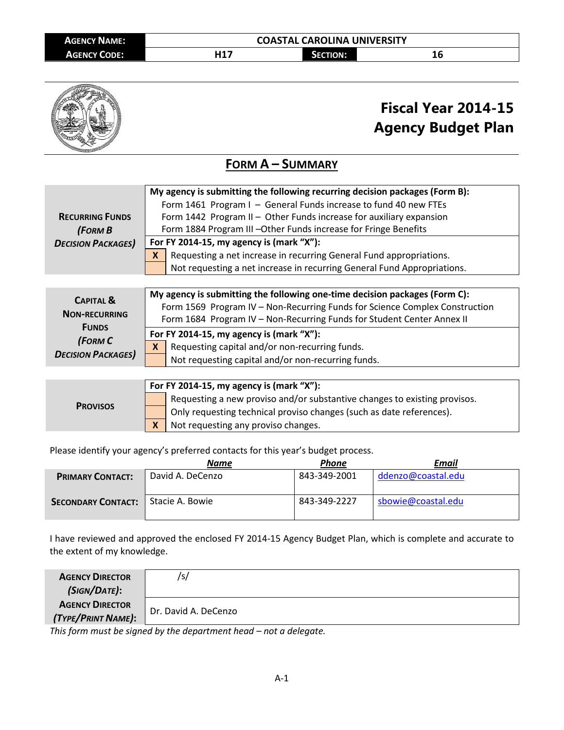

# **Fiscal Year 2014-15 Agency Budget Plan**

### **FORM A – SUMMARY**

|                           | My agency is submitting the following recurring decision packages (Form B): |  |  |  |  |
|---------------------------|-----------------------------------------------------------------------------|--|--|--|--|
|                           | Form 1461 Program I - General Funds increase to fund 40 new FTEs            |  |  |  |  |
| <b>RECURRING FUNDS</b>    | Form 1442 Program II - Other Funds increase for auxiliary expansion         |  |  |  |  |
| (FORMB)                   | Form 1884 Program III - Other Funds increase for Fringe Benefits            |  |  |  |  |
| <b>DECISION PACKAGES)</b> | For FY 2014-15, my agency is (mark "X"):                                    |  |  |  |  |
|                           | Requesting a net increase in recurring General Fund appropriations.<br>X    |  |  |  |  |
|                           | Not requesting a net increase in recurring General Fund Appropriations.     |  |  |  |  |
|                           |                                                                             |  |  |  |  |

| <b>CAPITAL &amp;</b><br><b>NON-RECURRING</b><br><b>FUNDS</b> |          | My agency is submitting the following one-time decision packages (Form C):<br>Form 1569 Program IV - Non-Recurring Funds for Science Complex Construction<br>Form 1684 Program IV - Non-Recurring Funds for Student Center Annex II |
|--------------------------------------------------------------|----------|-------------------------------------------------------------------------------------------------------------------------------------------------------------------------------------------------------------------------------------|
|                                                              |          | For FY 2014-15, my agency is (mark " $X$ "):                                                                                                                                                                                        |
| (FORM C<br><b>DECISION PACKAGES)</b>                         | <b>X</b> | Requesting capital and/or non-recurring funds.                                                                                                                                                                                      |
|                                                              |          | Not requesting capital and/or non-recurring funds.                                                                                                                                                                                  |

|                 | For FY 2014-15, my agency is (mark "X"): |                                                                           |  |  |
|-----------------|------------------------------------------|---------------------------------------------------------------------------|--|--|
| <b>PROVISOS</b> |                                          | Requesting a new proviso and/or substantive changes to existing provisos. |  |  |
|                 |                                          | Only requesting technical proviso changes (such as date references).      |  |  |
|                 |                                          | Not requesting any proviso changes.                                       |  |  |

Please identify your agency's preferred contacts for this year's budget process.

|                           | <b>Name</b>      | Phone        | Email              |
|---------------------------|------------------|--------------|--------------------|
| <b>PRIMARY CONTACT:</b>   | David A. DeCenzo | 843-349-2001 | ddenzo@coastal.edu |
| <b>SECONDARY CONTACT:</b> | Stacie A. Bowie  | 843-349-2227 | sbowie@coastal.edu |

I have reviewed and approved the enclosed FY 2014-15 Agency Budget Plan, which is complete and accurate to the extent of my knowledge.

| <b>AGENCY DIRECTOR</b><br>(SIGN/DATE):       | 'sı                  |
|----------------------------------------------|----------------------|
| <b>AGENCY DIRECTOR</b><br>(TYPE/PRINT NAME): | Dr. David A. DeCenzo |

*This form must be signed by the department head – not a delegate.*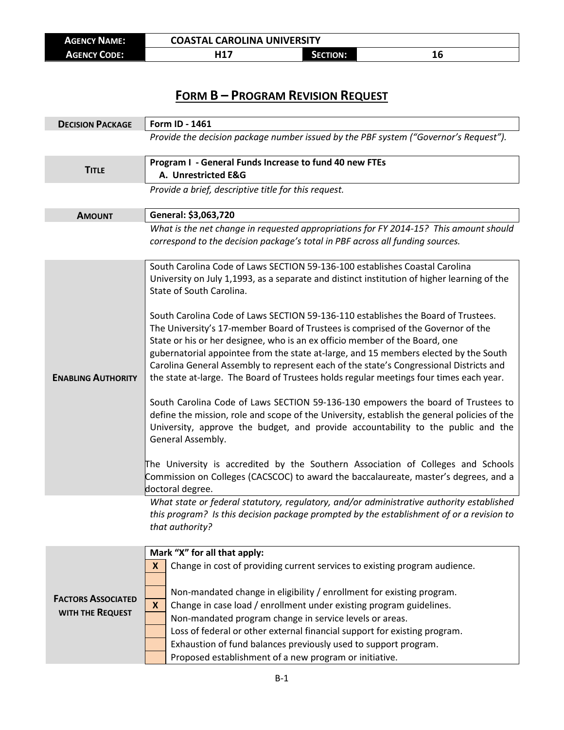| <b>AGENCY NAME:</b> | <b>COASTAL CAROLINA UNIVERSITY</b> |          |  |
|---------------------|------------------------------------|----------|--|
| <b>AGENCY CODE:</b> | $.$ 14 $\pm$<br>.                  | SECTION: |  |

## **FORM B – PROGRAM REVISION REQUEST**

| <b>DECISION PACKAGE</b>   | Form ID - 1461                                                                                                                                                                                                                                                                                                                                                                                                                              |  |  |  |  |
|---------------------------|---------------------------------------------------------------------------------------------------------------------------------------------------------------------------------------------------------------------------------------------------------------------------------------------------------------------------------------------------------------------------------------------------------------------------------------------|--|--|--|--|
|                           | Provide the decision package number issued by the PBF system ("Governor's Request").                                                                                                                                                                                                                                                                                                                                                        |  |  |  |  |
| <b>TITLE</b>              | Program I - General Funds Increase to fund 40 new FTEs<br>A. Unrestricted E&G                                                                                                                                                                                                                                                                                                                                                               |  |  |  |  |
|                           | Provide a brief, descriptive title for this request.                                                                                                                                                                                                                                                                                                                                                                                        |  |  |  |  |
| <b>AMOUNT</b>             | General: \$3,063,720                                                                                                                                                                                                                                                                                                                                                                                                                        |  |  |  |  |
|                           | What is the net change in requested appropriations for FY 2014-15? This amount should<br>correspond to the decision package's total in PBF across all funding sources.                                                                                                                                                                                                                                                                      |  |  |  |  |
|                           | South Carolina Code of Laws SECTION 59-136-100 establishes Coastal Carolina<br>University on July 1,1993, as a separate and distinct institution of higher learning of the<br>State of South Carolina.<br>South Carolina Code of Laws SECTION 59-136-110 establishes the Board of Trustees.                                                                                                                                                 |  |  |  |  |
| <b>ENABLING AUTHORITY</b> | The University's 17-member Board of Trustees is comprised of the Governor of the<br>State or his or her designee, who is an ex officio member of the Board, one<br>gubernatorial appointee from the state at-large, and 15 members elected by the South<br>Carolina General Assembly to represent each of the state's Congressional Districts and<br>the state at-large. The Board of Trustees holds regular meetings four times each year. |  |  |  |  |
|                           | South Carolina Code of Laws SECTION 59-136-130 empowers the board of Trustees to<br>define the mission, role and scope of the University, establish the general policies of the<br>University, approve the budget, and provide accountability to the public and the<br>General Assembly.                                                                                                                                                    |  |  |  |  |
|                           | The University is accredited by the Southern Association of Colleges and Schools<br>Commission on Colleges (CACSCOC) to award the baccalaureate, master's degrees, and a<br>doctoral degree.                                                                                                                                                                                                                                                |  |  |  |  |
|                           | What state or federal statutory, regulatory, and/or administrative authority established<br>this program? Is this decision package prompted by the establishment of or a revision to<br>that authority?                                                                                                                                                                                                                                     |  |  |  |  |
|                           | Mark "X" for all that apply:                                                                                                                                                                                                                                                                                                                                                                                                                |  |  |  |  |
|                           | Change in cost of providing current services to existing program audience.<br>X                                                                                                                                                                                                                                                                                                                                                             |  |  |  |  |
|                           | Non-mandated change in eligibility / enrollment for existing program.                                                                                                                                                                                                                                                                                                                                                                       |  |  |  |  |
| <b>FACTORS ASSOCIATED</b> | $\mathbf x$<br>Change in case load / enrollment under existing program guidelines.                                                                                                                                                                                                                                                                                                                                                          |  |  |  |  |
| WITH THE REQUEST          | Non-mandated program change in service levels or areas.                                                                                                                                                                                                                                                                                                                                                                                     |  |  |  |  |
|                           | Loss of federal or other external financial support for existing program.                                                                                                                                                                                                                                                                                                                                                                   |  |  |  |  |
|                           | Exhaustion of fund balances previously used to support program.                                                                                                                                                                                                                                                                                                                                                                             |  |  |  |  |
|                           | Proposed establishment of a new program or initiative.                                                                                                                                                                                                                                                                                                                                                                                      |  |  |  |  |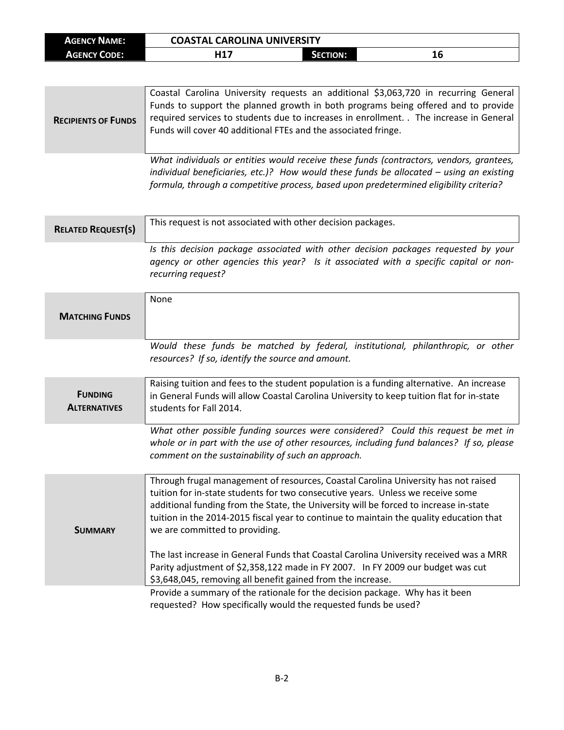| <b>AGENCY NAME:</b> | <b>COASTAL CAROLINA UNIVERSITY</b> |                 |    |
|---------------------|------------------------------------|-----------------|----|
| <b>AGENCY CODE:</b> | 117                                | <b>SECTION:</b> | TД |

| <b>RECIPIENTS OF FUNDS</b> | Coastal Carolina University requests an additional \$3,063,720 in recurring General<br>Funds to support the planned growth in both programs being offered and to provide<br>required services to students due to increases in enrollment. The increase in General<br>Funds will cover 40 additional FTEs and the associated fringe. |
|----------------------------|-------------------------------------------------------------------------------------------------------------------------------------------------------------------------------------------------------------------------------------------------------------------------------------------------------------------------------------|
|                            | What individuals or entities would receive these funds (contractors, vendors, arantees,                                                                                                                                                                                                                                             |

*What individuals or entities would receive these funds (contractors, vendors, grantees, individual beneficiaries, etc.)? How would these funds be allocated – using an existing formula, through a competitive process, based upon predetermined eligibility criteria?*

| <b>RELATED REQUEST(S)</b>             | This request is not associated with other decision packages.                                                                                                                                                                                                                                                                                                                                                                                                                                                                                                             |
|---------------------------------------|--------------------------------------------------------------------------------------------------------------------------------------------------------------------------------------------------------------------------------------------------------------------------------------------------------------------------------------------------------------------------------------------------------------------------------------------------------------------------------------------------------------------------------------------------------------------------|
|                                       | Is this decision package associated with other decision packages requested by your<br>agency or other agencies this year? Is it associated with a specific capital or non-<br>recurring request?                                                                                                                                                                                                                                                                                                                                                                         |
| <b>MATCHING FUNDS</b>                 | None                                                                                                                                                                                                                                                                                                                                                                                                                                                                                                                                                                     |
|                                       | Would these funds be matched by federal, institutional, philanthropic, or other<br>resources? If so, identify the source and amount.                                                                                                                                                                                                                                                                                                                                                                                                                                     |
| <b>FUNDING</b><br><b>ALTERNATIVES</b> | Raising tuition and fees to the student population is a funding alternative. An increase<br>in General Funds will allow Coastal Carolina University to keep tuition flat for in-state<br>students for Fall 2014.                                                                                                                                                                                                                                                                                                                                                         |
|                                       | What other possible funding sources were considered? Could this request be met in<br>whole or in part with the use of other resources, including fund balances? If so, please<br>comment on the sustainability of such an approach.                                                                                                                                                                                                                                                                                                                                      |
| <b>SUMMARY</b>                        | Through frugal management of resources, Coastal Carolina University has not raised<br>tuition for in-state students for two consecutive years. Unless we receive some<br>additional funding from the State, the University will be forced to increase in-state<br>tuition in the 2014-2015 fiscal year to continue to maintain the quality education that<br>we are committed to providing.<br>The last increase in General Funds that Coastal Carolina University received was a MRR<br>Parity adjustment of \$2,358,122 made in FY 2007. In FY 2009 our budget was cut |
|                                       | \$3,648,045, removing all benefit gained from the increase.<br>Provide a summary of the rationale for the decision package. Why has it been<br>requested? How specifically would the requested funds be used?                                                                                                                                                                                                                                                                                                                                                            |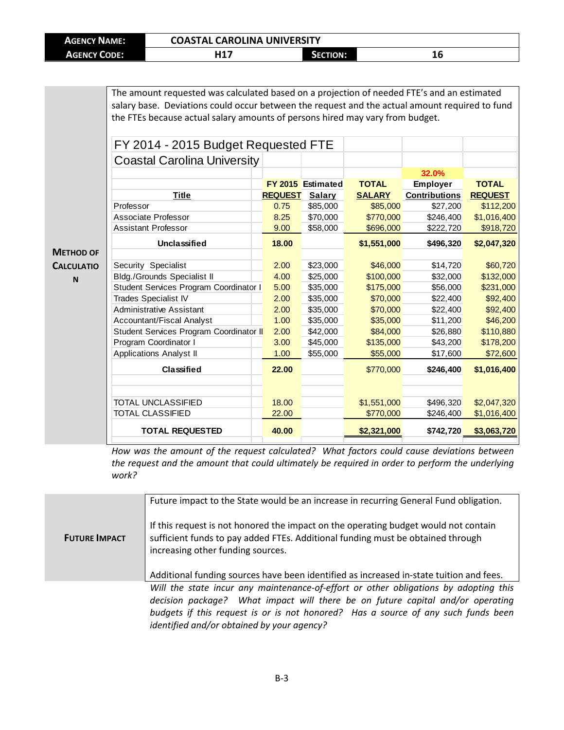| <b>AGENCY NAME:</b> | <b>COASTAL CAROLINA UNIVERSITY</b> |          |    |
|---------------------|------------------------------------|----------|----|
| <b>AGENCY CODE:</b> | <b>내17</b>                         | Section: | 10 |

The amount requested was calculated based on a projection of needed FTE's and an estimated salary base. Deviations could occur between the request and the actual amount required to fund the FTEs because actual salary amounts of persons hired may vary from budget.

|                   | FY 2014 - 2015 Budget Requested FTE     |                |                          |               |                      |                |
|-------------------|-----------------------------------------|----------------|--------------------------|---------------|----------------------|----------------|
|                   | <b>Coastal Carolina University</b>      |                |                          |               |                      |                |
|                   |                                         |                |                          |               | 32.0%                |                |
|                   |                                         |                | <b>FY 2015</b> Estimated | <b>TOTAL</b>  | <b>Employer</b>      | <b>TOTAL</b>   |
|                   | <b>Title</b>                            | <b>REQUEST</b> | <b>Salary</b>            | <b>SALARY</b> | <b>Contributions</b> | <b>REQUEST</b> |
|                   | Professor                               | 0.75           | \$85,000                 | \$85,000      | \$27,200             | \$112,200      |
|                   | Associate Professor                     | 8.25           | \$70,000                 | \$770,000     | \$246,400            | \$1,016,400    |
|                   | <b>Assistant Professor</b>              | 9.00           | \$58,000                 | \$696,000     | \$222,720            | \$918,720      |
|                   | <b>Unclassified</b>                     | 18.00          |                          | \$1,551,000   | \$496,320            | \$2,047,320    |
| <b>METHOD OF</b>  |                                         |                |                          |               |                      |                |
| <b>CALCULATIO</b> | Security Specialist                     | 2.00           | \$23,000                 | \$46,000      | \$14,720             | \$60,720       |
| N                 | <b>Bldg./Grounds Specialist II</b>      | 4.00           | \$25,000                 | \$100,000     | \$32,000             | \$132,000      |
|                   | Student Services Program Coordinator I  | 5.00           | \$35,000                 | \$175,000     | \$56,000             | \$231,000      |
|                   | Trades Specialist IV                    | 2.00           | \$35,000                 | \$70,000      | \$22,400             | \$92,400       |
|                   | <b>Administrative Assistant</b>         | 2.00           | \$35,000                 | \$70,000      | \$22,400             | \$92,400       |
|                   | Accountant/Fiscal Analyst               | 1.00           | \$35,000                 | \$35,000      | \$11,200             | \$46,200       |
|                   | Student Services Program Coordinator II | 2.00           | \$42,000                 | \$84,000      | \$26,880             | \$110,880      |
|                   | Program Coordinator I                   | 3.00           | \$45,000                 | \$135,000     | \$43,200             | \$178,200      |
|                   | <b>Applications Analyst II</b>          | 1.00           | \$55,000                 | \$55,000      | \$17,600             | \$72,600       |
|                   | <b>Classified</b>                       | 22.00          |                          | \$770,000     | \$246,400            | \$1,016,400    |
|                   |                                         |                |                          |               |                      |                |
|                   | <b>TOTAL UNCLASSIFIED</b>               | 18.00          |                          | \$1,551,000   | \$496,320            | \$2,047,320    |
|                   | <b>TOTAL CLASSIFIED</b>                 | 22.00          |                          | \$770,000     | \$246,400            | \$1,016,400    |
|                   | <b>TOTAL REQUESTED</b>                  | 40.00          |                          | \$2,321,000   | \$742,720            | \$3,063,720    |
|                   |                                         |                |                          |               |                      |                |

*How was the amount of the request calculated? What factors could cause deviations between the request and the amount that could ultimately be required in order to perform the underlying work?*

|                      | Future impact to the State would be an increase in recurring General Fund obligation.                                                                                                                       |  |
|----------------------|-------------------------------------------------------------------------------------------------------------------------------------------------------------------------------------------------------------|--|
| <b>FUTURE IMPACT</b> | If this request is not honored the impact on the operating budget would not contain<br>sufficient funds to pay added FTEs. Additional funding must be obtained through<br>increasing other funding sources. |  |
|                      | Additional funding sources have been identified as increased in-state tuition and fees.                                                                                                                     |  |
|                      | Will the state incur any maintenance-of-effort or other obligations by adopting this                                                                                                                        |  |
|                      | decision package? What impact will there be on future capital and/or operating                                                                                                                              |  |
|                      | budgets if this request is or is not honored? Has a source of any such funds been                                                                                                                           |  |
|                      | identified and/or obtained by your agency?                                                                                                                                                                  |  |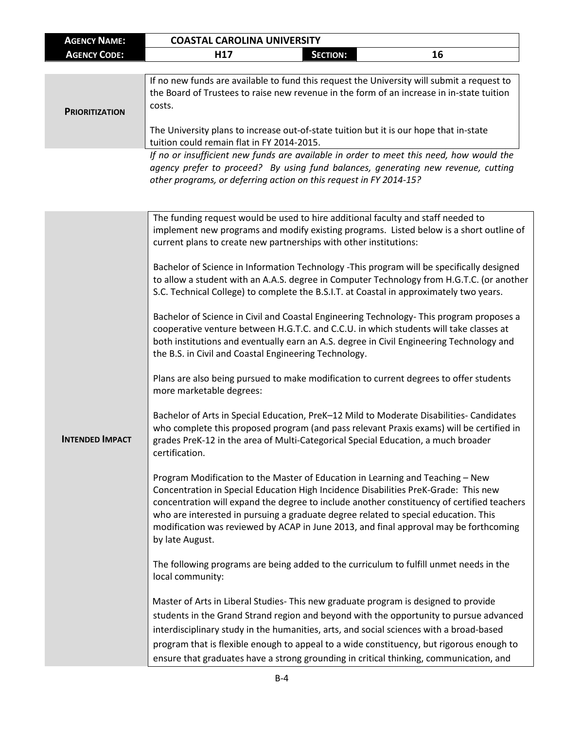| <b>AGENCY NAME:</b>    | <b>COASTAL CAROLINA UNIVERSITY</b>                                                                                                                                                                                                                                                                                                                                                                                                                                     |
|------------------------|------------------------------------------------------------------------------------------------------------------------------------------------------------------------------------------------------------------------------------------------------------------------------------------------------------------------------------------------------------------------------------------------------------------------------------------------------------------------|
| <b>AGENCY CODE:</b>    | H <sub>17</sub><br><b>SECTION:</b><br>16                                                                                                                                                                                                                                                                                                                                                                                                                               |
|                        |                                                                                                                                                                                                                                                                                                                                                                                                                                                                        |
| <b>PRIORITIZATION</b>  | If no new funds are available to fund this request the University will submit a request to<br>the Board of Trustees to raise new revenue in the form of an increase in in-state tuition<br>costs.<br>The University plans to increase out-of-state tuition but it is our hope that in-state<br>tuition could remain flat in FY 2014-2015.                                                                                                                              |
|                        | If no or insufficient new funds are available in order to meet this need, how would the<br>agency prefer to proceed? By using fund balances, generating new revenue, cutting<br>other programs, or deferring action on this request in FY 2014-15?                                                                                                                                                                                                                     |
|                        | The funding request would be used to hire additional faculty and staff needed to<br>implement new programs and modify existing programs. Listed below is a short outline of<br>current plans to create new partnerships with other institutions:                                                                                                                                                                                                                       |
|                        | Bachelor of Science in Information Technology -This program will be specifically designed<br>to allow a student with an A.A.S. degree in Computer Technology from H.G.T.C. (or another<br>S.C. Technical College) to complete the B.S.I.T. at Coastal in approximately two years.                                                                                                                                                                                      |
|                        | Bachelor of Science in Civil and Coastal Engineering Technology-This program proposes a<br>cooperative venture between H.G.T.C. and C.C.U. in which students will take classes at<br>both institutions and eventually earn an A.S. degree in Civil Engineering Technology and<br>the B.S. in Civil and Coastal Engineering Technology.                                                                                                                                 |
|                        | Plans are also being pursued to make modification to current degrees to offer students<br>more marketable degrees:                                                                                                                                                                                                                                                                                                                                                     |
| <b>INTENDED IMPACT</b> | Bachelor of Arts in Special Education, PreK-12 Mild to Moderate Disabilities-Candidates<br>who complete this proposed program (and pass relevant Praxis exams) will be certified in<br>grades PreK-12 in the area of Multi-Categorical Special Education, a much broader<br>certification.                                                                                                                                                                             |
|                        | Program Modification to the Master of Education in Learning and Teaching - New<br>Concentration in Special Education High Incidence Disabilities PreK-Grade: This new<br>concentration will expand the degree to include another constituency of certified teachers<br>who are interested in pursuing a graduate degree related to special education. This<br>modification was reviewed by ACAP in June 2013, and final approval may be forthcoming<br>by late August. |
|                        | The following programs are being added to the curriculum to fulfill unmet needs in the<br>local community:                                                                                                                                                                                                                                                                                                                                                             |
|                        | Master of Arts in Liberal Studies- This new graduate program is designed to provide<br>students in the Grand Strand region and beyond with the opportunity to pursue advanced<br>interdisciplinary study in the humanities, arts, and social sciences with a broad-based<br>program that is flexible enough to appeal to a wide constituency, but rigorous enough to<br>ensure that graduates have a strong grounding in critical thinking, communication, and         |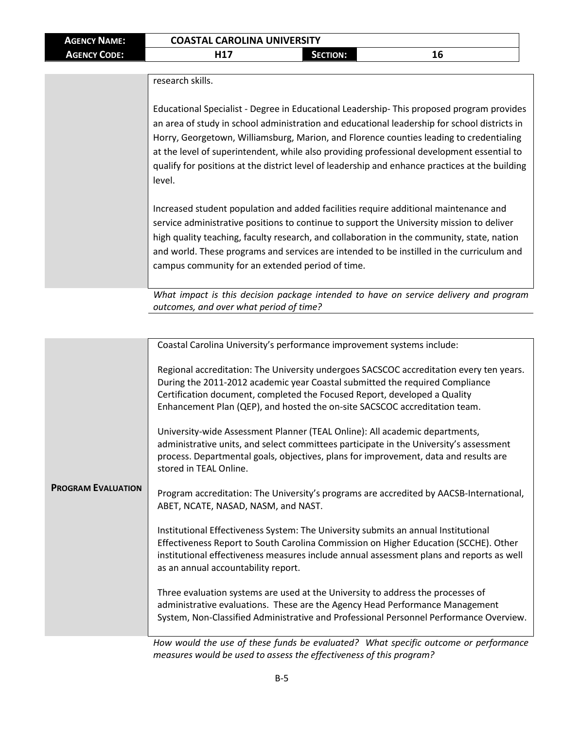| <b>AGENCY NAME:</b> | <b>COASTAL CAROLINA UNIVERSITY</b> |                 |                                                                                          |
|---------------------|------------------------------------|-----------------|------------------------------------------------------------------------------------------|
| <b>AGENCY CODE:</b> | H17                                | <b>SECTION:</b> | 16                                                                                       |
|                     |                                    |                 |                                                                                          |
|                     | research skills.                   |                 |                                                                                          |
|                     |                                    |                 |                                                                                          |
|                     |                                    |                 | Educational Specialist - Degree in Educational Leadership-This proposed program provides |

an area of study in school administration and educational leadership for school districts in Horry, Georgetown, Williamsburg, Marion, and Florence counties leading to credentialing at the level of superintendent, while also providing professional development essential to qualify for positions at the district level of leadership and enhance practices at the building level.

Increased student population and added facilities require additional maintenance and service administrative positions to continue to support the University mission to deliver high quality teaching, faculty research, and collaboration in the community, state, nation and world. These programs and services are intended to be instilled in the curriculum and campus community for an extended period of time.

*What impact is this decision package intended to have on service delivery and program outcomes, and over what period of time?*

|                           | Coastal Carolina University's performance improvement systems include:                                                                                                                                                                                                                                                             |
|---------------------------|------------------------------------------------------------------------------------------------------------------------------------------------------------------------------------------------------------------------------------------------------------------------------------------------------------------------------------|
| <b>PROGRAM EVALUATION</b> | Regional accreditation: The University undergoes SACSCOC accreditation every ten years.<br>During the 2011-2012 academic year Coastal submitted the required Compliance<br>Certification document, completed the Focused Report, developed a Quality<br>Enhancement Plan (QEP), and hosted the on-site SACSCOC accreditation team. |
|                           | University-wide Assessment Planner (TEAL Online): All academic departments,<br>administrative units, and select committees participate in the University's assessment<br>process. Departmental goals, objectives, plans for improvement, data and results are<br>stored in TEAL Online.                                            |
|                           | Program accreditation: The University's programs are accredited by AACSB-International,<br>ABET, NCATE, NASAD, NASM, and NAST.                                                                                                                                                                                                     |
|                           | Institutional Effectiveness System: The University submits an annual Institutional<br>Effectiveness Report to South Carolina Commission on Higher Education (SCCHE). Other<br>institutional effectiveness measures include annual assessment plans and reports as well<br>as an annual accountability report.                      |
|                           | Three evaluation systems are used at the University to address the processes of<br>administrative evaluations. These are the Agency Head Performance Management<br>System, Non-Classified Administrative and Professional Personnel Performance Overview.                                                                          |
|                           | University that the contract there founds he accelerated? If the straights actions                                                                                                                                                                                                                                                 |

*How would the use of these funds be evaluated? What specific outcome or performance measures would be used to assess the effectiveness of this program?*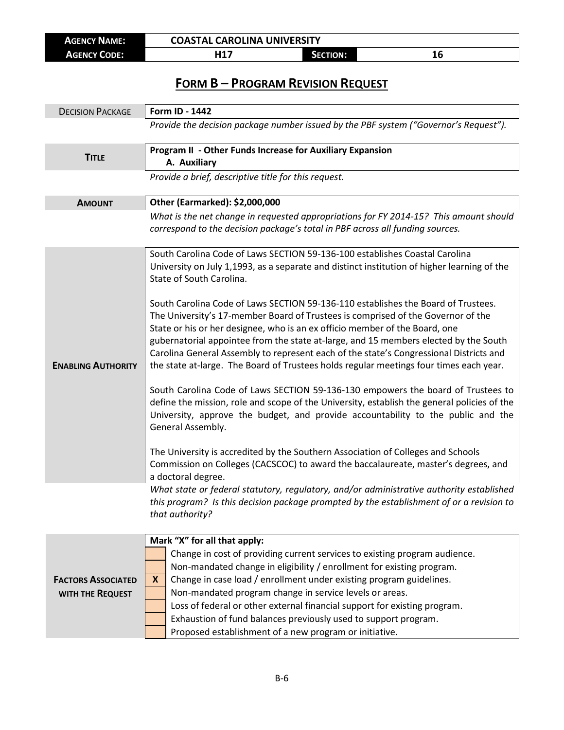| <b>AGENCY NAME:</b> | <b>COASTAL CAROLINA UNIVERSITY</b> |          |    |
|---------------------|------------------------------------|----------|----|
| <b>AGENCY CODE:</b> | . 147                              | SECTION: | Tņ |

## **FORM B – PROGRAM REVISION REQUEST**

| <b>DECISION PACKAGE</b>   | Form ID - 1442                                                                                                                                                                                                                                                                                                                                                                                                                                                                                                                   |  |  |  |
|---------------------------|----------------------------------------------------------------------------------------------------------------------------------------------------------------------------------------------------------------------------------------------------------------------------------------------------------------------------------------------------------------------------------------------------------------------------------------------------------------------------------------------------------------------------------|--|--|--|
|                           | Provide the decision package number issued by the PBF system ("Governor's Request").                                                                                                                                                                                                                                                                                                                                                                                                                                             |  |  |  |
| <b>TITLE</b>              | Program II - Other Funds Increase for Auxiliary Expansion<br>A. Auxiliary                                                                                                                                                                                                                                                                                                                                                                                                                                                        |  |  |  |
|                           | Provide a brief, descriptive title for this request.                                                                                                                                                                                                                                                                                                                                                                                                                                                                             |  |  |  |
| <b>AMOUNT</b>             | Other (Earmarked): \$2,000,000                                                                                                                                                                                                                                                                                                                                                                                                                                                                                                   |  |  |  |
|                           | What is the net change in requested appropriations for FY 2014-15? This amount should<br>correspond to the decision package's total in PBF across all funding sources.                                                                                                                                                                                                                                                                                                                                                           |  |  |  |
|                           | South Carolina Code of Laws SECTION 59-136-100 establishes Coastal Carolina<br>University on July 1,1993, as a separate and distinct institution of higher learning of the<br>State of South Carolina.                                                                                                                                                                                                                                                                                                                           |  |  |  |
| <b>ENABLING AUTHORITY</b> | South Carolina Code of Laws SECTION 59-136-110 establishes the Board of Trustees.<br>The University's 17-member Board of Trustees is comprised of the Governor of the<br>State or his or her designee, who is an ex officio member of the Board, one<br>gubernatorial appointee from the state at-large, and 15 members elected by the South<br>Carolina General Assembly to represent each of the state's Congressional Districts and<br>the state at-large. The Board of Trustees holds regular meetings four times each year. |  |  |  |
|                           | South Carolina Code of Laws SECTION 59-136-130 empowers the board of Trustees to<br>define the mission, role and scope of the University, establish the general policies of the<br>University, approve the budget, and provide accountability to the public and the<br>General Assembly.                                                                                                                                                                                                                                         |  |  |  |
|                           | The University is accredited by the Southern Association of Colleges and Schools<br>Commission on Colleges (CACSCOC) to award the baccalaureate, master's degrees, and<br>a doctoral degree.                                                                                                                                                                                                                                                                                                                                     |  |  |  |
|                           | What state or federal statutory, regulatory, and/or administrative authority established<br>this program? Is this decision package prompted by the establishment of or a revision to<br>that authority?                                                                                                                                                                                                                                                                                                                          |  |  |  |
|                           | Mark "X" for all that apply:                                                                                                                                                                                                                                                                                                                                                                                                                                                                                                     |  |  |  |
|                           | Change in cost of providing current services to existing program audience.                                                                                                                                                                                                                                                                                                                                                                                                                                                       |  |  |  |
|                           | Non-mandated change in eligibility / enrollment for existing program.                                                                                                                                                                                                                                                                                                                                                                                                                                                            |  |  |  |
| <b>FACTORS ASSOCIATED</b> | Change in case load / enrollment under existing program guidelines.<br>X                                                                                                                                                                                                                                                                                                                                                                                                                                                         |  |  |  |
| WITH THE REQUEST          | Non-mandated program change in service levels or areas.<br>Loss of federal or other external financial support for existing program.                                                                                                                                                                                                                                                                                                                                                                                             |  |  |  |
|                           | Exhaustion of fund balances previously used to support program.                                                                                                                                                                                                                                                                                                                                                                                                                                                                  |  |  |  |
|                           | Proposed establishment of a new program or initiative.                                                                                                                                                                                                                                                                                                                                                                                                                                                                           |  |  |  |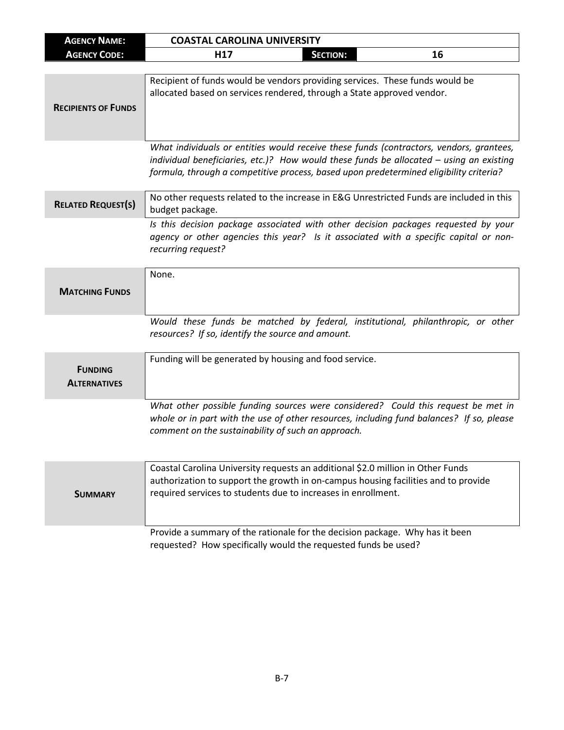| <b>AGENCY NAME:</b>                   | <b>COASTAL CAROLINA UNIVERSITY</b>                                                                                                                                                                                                                                             |  |  |
|---------------------------------------|--------------------------------------------------------------------------------------------------------------------------------------------------------------------------------------------------------------------------------------------------------------------------------|--|--|
| <b>AGENCY CODE:</b>                   | 16<br>H <sub>17</sub><br><b>SECTION:</b>                                                                                                                                                                                                                                       |  |  |
|                                       |                                                                                                                                                                                                                                                                                |  |  |
| <b>RECIPIENTS OF FUNDS</b>            | Recipient of funds would be vendors providing services. These funds would be<br>allocated based on services rendered, through a State approved vendor.                                                                                                                         |  |  |
|                                       | What individuals or entities would receive these funds (contractors, vendors, grantees,<br>individual beneficiaries, etc.)? How would these funds be allocated $-$ using an existing<br>formula, through a competitive process, based upon predetermined eligibility criteria? |  |  |
| <b>RELATED REQUEST(S)</b>             | No other requests related to the increase in E&G Unrestricted Funds are included in this<br>budget package.                                                                                                                                                                    |  |  |
|                                       | Is this decision package associated with other decision packages requested by your<br>agency or other agencies this year? Is it associated with a specific capital or non-<br>recurring request?                                                                               |  |  |
| <b>MATCHING FUNDS</b>                 | None.                                                                                                                                                                                                                                                                          |  |  |
|                                       | Would these funds be matched by federal, institutional, philanthropic, or other<br>resources? If so, identify the source and amount.                                                                                                                                           |  |  |
| <b>FUNDING</b><br><b>ALTERNATIVES</b> | Funding will be generated by housing and food service.                                                                                                                                                                                                                         |  |  |
|                                       | What other possible funding sources were considered? Could this request be met in<br>whole or in part with the use of other resources, including fund balances? If so, please<br>comment on the sustainability of such an approach.                                            |  |  |
| <b>SUMMARY</b>                        | Coastal Carolina University requests an additional \$2.0 million in Other Funds<br>authorization to support the growth in on-campus housing facilities and to provide<br>required services to students due to increases in enrollment.                                         |  |  |
|                                       | Provide a summary of the rationale for the decision package. Why has it been<br>requested? How specifically would the requested funds be used?                                                                                                                                 |  |  |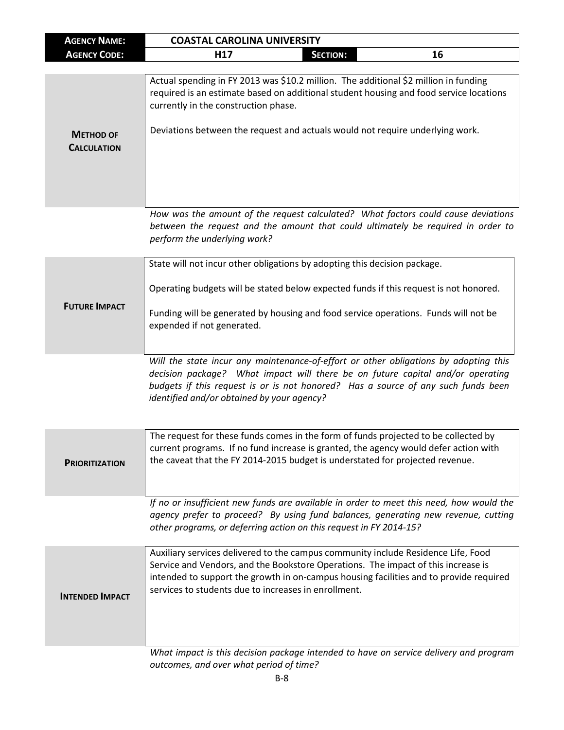| <b>AGENCY NAME:</b>                    | <b>COASTAL CAROLINA UNIVERSITY</b>                                                                                                                                                                                                                                                                                       |
|----------------------------------------|--------------------------------------------------------------------------------------------------------------------------------------------------------------------------------------------------------------------------------------------------------------------------------------------------------------------------|
| <b>AGENCY CODE:</b>                    | H17<br>16<br><b>SECTION:</b>                                                                                                                                                                                                                                                                                             |
|                                        |                                                                                                                                                                                                                                                                                                                          |
|                                        | Actual spending in FY 2013 was \$10.2 million. The additional \$2 million in funding<br>required is an estimate based on additional student housing and food service locations<br>currently in the construction phase.                                                                                                   |
| <b>METHOD OF</b><br><b>CALCULATION</b> | Deviations between the request and actuals would not require underlying work.                                                                                                                                                                                                                                            |
|                                        | How was the amount of the request calculated? What factors could cause deviations<br>between the request and the amount that could ultimately be required in order to<br>perform the underlying work?                                                                                                                    |
|                                        | State will not incur other obligations by adopting this decision package.                                                                                                                                                                                                                                                |
| <b>FUTURE IMPACT</b>                   | Operating budgets will be stated below expected funds if this request is not honored.<br>Funding will be generated by housing and food service operations. Funds will not be                                                                                                                                             |
|                                        | expended if not generated.                                                                                                                                                                                                                                                                                               |
|                                        | Will the state incur any maintenance-of-effort or other obligations by adopting this<br>decision package? What impact will there be on future capital and/or operating<br>budgets if this request is or is not honored? Has a source of any such funds been<br>identified and/or obtained by your agency?                |
| <b>PRIORITIZATION</b>                  | The request for these funds comes in the form of funds projected to be collected by<br>current programs. If no fund increase is granted, the agency would defer action with<br>the caveat that the FY 2014-2015 budget is understated for projected revenue.                                                             |
|                                        | If no or insufficient new funds are available in order to meet this need, how would the<br>agency prefer to proceed? By using fund balances, generating new revenue, cutting<br>other programs, or deferring action on this request in FY 2014-15?                                                                       |
| <b>INTENDED IMPACT</b>                 | Auxiliary services delivered to the campus community include Residence Life, Food<br>Service and Vendors, and the Bookstore Operations. The impact of this increase is<br>intended to support the growth in on-campus housing facilities and to provide required<br>services to students due to increases in enrollment. |
|                                        | What impact is this decision package intended to have on service delivery and program<br>outcomes, and over what period of time?                                                                                                                                                                                         |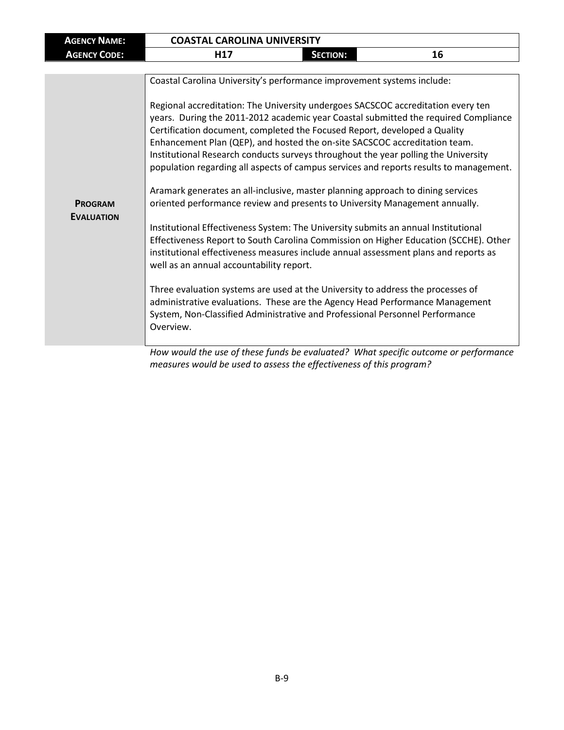| <b>AGENCY NAME:</b>                 | <b>COASTAL CAROLINA UNIVERSITY</b>                                                                                                                                                                                                                                                                                                                                                                                                                                                                                                                                                                                                                                                                                                                                                                                                                                                                                                                                                                                                                                                                                                                                                                                                                                                                                                                                                                                                     |                 |    |
|-------------------------------------|----------------------------------------------------------------------------------------------------------------------------------------------------------------------------------------------------------------------------------------------------------------------------------------------------------------------------------------------------------------------------------------------------------------------------------------------------------------------------------------------------------------------------------------------------------------------------------------------------------------------------------------------------------------------------------------------------------------------------------------------------------------------------------------------------------------------------------------------------------------------------------------------------------------------------------------------------------------------------------------------------------------------------------------------------------------------------------------------------------------------------------------------------------------------------------------------------------------------------------------------------------------------------------------------------------------------------------------------------------------------------------------------------------------------------------------|-----------------|----|
| <b>AGENCY CODE:</b>                 | H <sub>17</sub>                                                                                                                                                                                                                                                                                                                                                                                                                                                                                                                                                                                                                                                                                                                                                                                                                                                                                                                                                                                                                                                                                                                                                                                                                                                                                                                                                                                                                        | <b>SECTION:</b> | 16 |
|                                     |                                                                                                                                                                                                                                                                                                                                                                                                                                                                                                                                                                                                                                                                                                                                                                                                                                                                                                                                                                                                                                                                                                                                                                                                                                                                                                                                                                                                                                        |                 |    |
| <b>PROGRAM</b><br><b>EVALUATION</b> | Coastal Carolina University's performance improvement systems include:<br>Regional accreditation: The University undergoes SACSCOC accreditation every ten<br>years. During the 2011-2012 academic year Coastal submitted the required Compliance<br>Certification document, completed the Focused Report, developed a Quality<br>Enhancement Plan (QEP), and hosted the on-site SACSCOC accreditation team.<br>Institutional Research conducts surveys throughout the year polling the University<br>population regarding all aspects of campus services and reports results to management.<br>Aramark generates an all-inclusive, master planning approach to dining services<br>oriented performance review and presents to University Management annually.<br>Institutional Effectiveness System: The University submits an annual Institutional<br>Effectiveness Report to South Carolina Commission on Higher Education (SCCHE). Other<br>institutional effectiveness measures include annual assessment plans and reports as<br>well as an annual accountability report.<br>Three evaluation systems are used at the University to address the processes of<br>administrative evaluations. These are the Agency Head Performance Management<br>System, Non-Classified Administrative and Professional Personnel Performance<br>Overview.<br>How would the use of these funds be evaluated? What specific outcome or performance |                 |    |
|                                     | measures would be used to assess the effectiveness of this program?                                                                                                                                                                                                                                                                                                                                                                                                                                                                                                                                                                                                                                                                                                                                                                                                                                                                                                                                                                                                                                                                                                                                                                                                                                                                                                                                                                    |                 |    |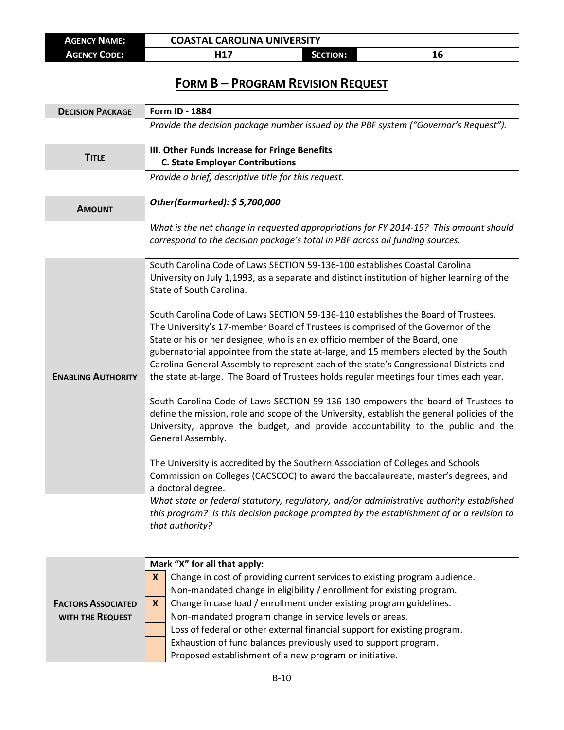| <b>AGENCY NAME:</b> | <b>COASTAL CAROLINA UNIVERSITY</b> |                 |  |
|---------------------|------------------------------------|-----------------|--|
| <b>AGENCY CODE:</b> | 14.7                               | <b>SECTION:</b> |  |

## **FORM B – PROGRAM REVISION REQUEST**

| <b>DECISION PACKAGE</b>   | Form ID - 1884                                                                                                 |
|---------------------------|----------------------------------------------------------------------------------------------------------------|
|                           | Provide the decision package number issued by the PBF system ("Governor's Request").                           |
|                           | III. Other Funds Increase for Fringe Benefits                                                                  |
| <b>TITLE</b>              | <b>C. State Employer Contributions</b>                                                                         |
|                           | Provide a brief, descriptive title for this request.                                                           |
| <b>AMOUNT</b>             | Other(Earmarked): \$5,700,000                                                                                  |
|                           | What is the net change in requested appropriations for FY 2014-15? This amount should                          |
|                           | correspond to the decision package's total in PBF across all funding sources.                                  |
|                           |                                                                                                                |
|                           | South Carolina Code of Laws SECTION 59-136-100 establishes Coastal Carolina                                    |
|                           | University on July 1,1993, as a separate and distinct institution of higher learning of the                    |
|                           | State of South Carolina.                                                                                       |
|                           | South Carolina Code of Laws SECTION 59-136-110 establishes the Board of Trustees.                              |
|                           | The University's 17-member Board of Trustees is comprised of the Governor of the                               |
|                           | State or his or her designee, who is an ex officio member of the Board, one                                    |
|                           | gubernatorial appointee from the state at-large, and 15 members elected by the South                           |
|                           | Carolina General Assembly to represent each of the state's Congressional Districts and                         |
| <b>ENABLING AUTHORITY</b> | the state at-large. The Board of Trustees holds regular meetings four times each year.                         |
|                           | South Carolina Code of Laws SECTION 59-136-130 empowers the board of Trustees to                               |
|                           | define the mission, role and scope of the University, establish the general policies of the                    |
|                           | University, approve the budget, and provide accountability to the public and the                               |
|                           | General Assembly.                                                                                              |
|                           |                                                                                                                |
|                           | The University is accredited by the Southern Association of Colleges and Schools                               |
|                           | Commission on Colleges (CACSCOC) to award the baccalaureate, master's degrees, and                             |
|                           | a doctoral degree.<br>What state or federal statutory, regulatory, and/or administrative authority established |
|                           | this program? Is this decision package prompted by the establishment of or a revision to                       |

*that authority?*

|                           | Mark "X" for all that apply: |                                                                            |  |
|---------------------------|------------------------------|----------------------------------------------------------------------------|--|
|                           |                              | Change in cost of providing current services to existing program audience. |  |
|                           |                              | Non-mandated change in eligibility / enrollment for existing program.      |  |
| <b>FACTORS ASSOCIATED</b> |                              | Change in case load / enrollment under existing program guidelines.        |  |
| WITH THE REQUEST          |                              | Non-mandated program change in service levels or areas.                    |  |
|                           |                              | Loss of federal or other external financial support for existing program.  |  |
|                           |                              | Exhaustion of fund balances previously used to support program.            |  |
|                           |                              | Proposed establishment of a new program or initiative.                     |  |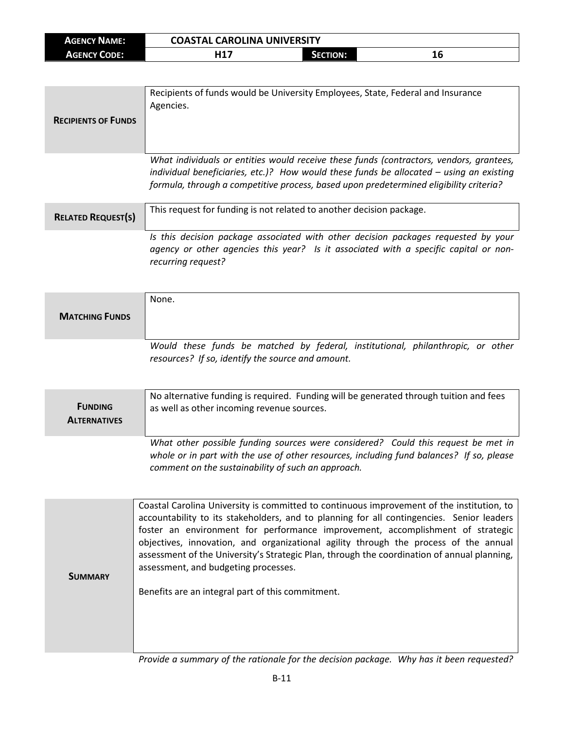| <b>AGENCY NAME:</b> | <b>COASTAL CAROLINA UNIVERSITY</b> |                 |    |
|---------------------|------------------------------------|-----------------|----|
| <b>AGENCY CODE:</b> | I 14 7                             | <b>SECTION:</b> | πо |

| <b>RECIPIENTS OF FUNDS</b> | Recipients of funds would be University Employees, State, Federal and Insurance<br>Agencies.                                                                                                                                                                                   |
|----------------------------|--------------------------------------------------------------------------------------------------------------------------------------------------------------------------------------------------------------------------------------------------------------------------------|
|                            | What individuals or entities would receive these funds (contractors, vendors, grantees,<br>individual beneficiaries, etc.)? How would these funds be allocated $-$ using an existing<br>formula, through a competitive process, based upon predetermined eligibility criteria? |

| <b>RELATED REQUEST(S)</b> | This request for funding is not related to another decision package.                                                                                                                             |  |
|---------------------------|--------------------------------------------------------------------------------------------------------------------------------------------------------------------------------------------------|--|
|                           | Is this decision package associated with other decision packages requested by your<br>agency or other agencies this year? Is it associated with a specific capital or non-<br>recurring request? |  |

|                       | None.                                                                           |
|-----------------------|---------------------------------------------------------------------------------|
| <b>MATCHING FUNDS</b> |                                                                                 |
|                       |                                                                                 |
|                       | Would these funds be matched by federal, institutional, philanthropic, or other |
|                       | resources? If so, identify the source and amount.                               |

| <b>FUNDING</b>      | No alternative funding is required. Funding will be generated through tuition and fees                                                                                                                                              |
|---------------------|-------------------------------------------------------------------------------------------------------------------------------------------------------------------------------------------------------------------------------------|
| <b>ALTERNATIVES</b> | as well as other incoming revenue sources.                                                                                                                                                                                          |
|                     | What other possible funding sources were considered? Could this request be met in<br>whole or in part with the use of other resources, including fund balances? If so, please<br>comment on the sustainability of such an approach. |

| <b>SUMMARY</b> | Coastal Carolina University is committed to continuous improvement of the institution, to<br>accountability to its stakeholders, and to planning for all contingencies. Senior leaders<br>foster an environment for performance improvement, accomplishment of strategic<br>objectives, innovation, and organizational agility through the process of the annual<br>assessment of the University's Strategic Plan, through the coordination of annual planning,<br>assessment, and budgeting processes.<br>Benefits are an integral part of this commitment.<br>. A show that the second contract of the second contract of the second contract $\mathcal{L}_\mathcal{A}$ |
|----------------|---------------------------------------------------------------------------------------------------------------------------------------------------------------------------------------------------------------------------------------------------------------------------------------------------------------------------------------------------------------------------------------------------------------------------------------------------------------------------------------------------------------------------------------------------------------------------------------------------------------------------------------------------------------------------|
|----------------|---------------------------------------------------------------------------------------------------------------------------------------------------------------------------------------------------------------------------------------------------------------------------------------------------------------------------------------------------------------------------------------------------------------------------------------------------------------------------------------------------------------------------------------------------------------------------------------------------------------------------------------------------------------------------|

*Provide a summary of the rationale for the decision package. Why has it been requested?*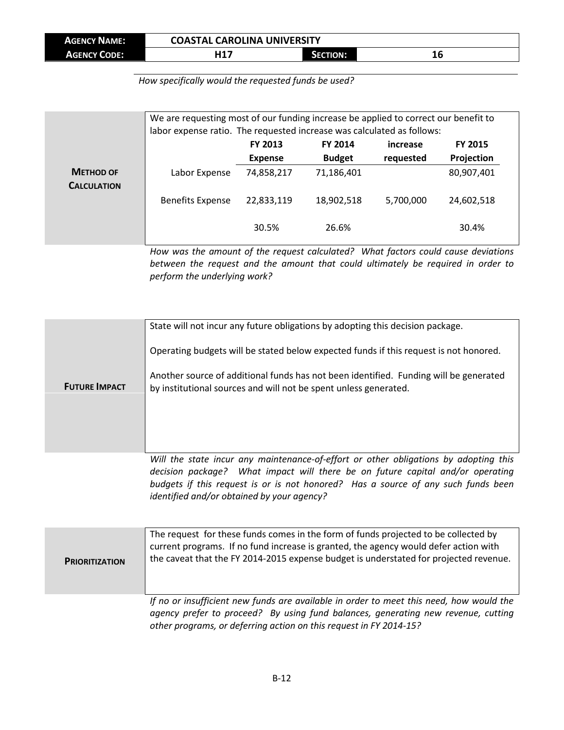| <b>AGENCY NAME:</b> | L CAROLINA UNIVERSITY<br>COASTAL |                 |    |
|---------------------|----------------------------------|-----------------|----|
| <b>AGENCY CODE:</b> | I 14 7                           | <b>SECTION:</b> | ΙO |

*How specifically would the requested funds be used?*

|                                        | We are requesting most of our funding increase be applied to correct our benefit to<br>labor expense ratio. The requested increase was calculated as follows: |                                  |                                 |                       |                              |
|----------------------------------------|---------------------------------------------------------------------------------------------------------------------------------------------------------------|----------------------------------|---------------------------------|-----------------------|------------------------------|
|                                        |                                                                                                                                                               | <b>FY 2013</b><br><b>Expense</b> | <b>FY 2014</b><br><b>Budget</b> | increase<br>requested | <b>FY 2015</b><br>Projection |
| <b>METHOD OF</b><br><b>CALCULATION</b> | Labor Expense                                                                                                                                                 | 74,858,217                       | 71,186,401                      |                       | 80,907,401                   |
|                                        | <b>Benefits Expense</b>                                                                                                                                       | 22,833,119                       | 18,902,518                      | 5,700,000             | 24,602,518                   |
|                                        |                                                                                                                                                               | 30.5%                            | 26.6%                           |                       | 30.4%                        |

*How was the amount of the request calculated? What factors could cause deviations between the request and the amount that could ultimately be required in order to perform the underlying work?*

|                      | State will not incur any future obligations by adopting this decision package.                                                                                      |
|----------------------|---------------------------------------------------------------------------------------------------------------------------------------------------------------------|
|                      | Operating budgets will be stated below expected funds if this request is not honored.                                                                               |
| <b>FUTURE IMPACT</b> | Another source of additional funds has not been identified. Funding will be generated<br>by institutional sources and will not be spent unless generated.           |
|                      |                                                                                                                                                                     |
|                      |                                                                                                                                                                     |
|                      | Will the state incur any maintenance-of-effort or other obligations by adopting this                                                                                |
|                      | decision package? What impact will there be on future capital and/or operating<br>budgets if this request is or is not honored? Has a source of any such funds been |
|                      | identified and/or obtained by your agency?                                                                                                                          |

| <b>PRIORITIZATION</b> | The request for these funds comes in the form of funds projected to be collected by<br>current programs. If no fund increase is granted, the agency would defer action with<br>the caveat that the FY 2014-2015 expense budget is understated for projected revenue. |
|-----------------------|----------------------------------------------------------------------------------------------------------------------------------------------------------------------------------------------------------------------------------------------------------------------|
|                       | If no or insufficient new funds are available in order to meet this need, how would the<br>agency prefer to proceed? By using fund balances, generating new revenue, cutting                                                                                         |

*agency prefer to proceed? By using fund balances, generating new revenue, cutting other programs, or deferring action on this request in FY 2014-15?*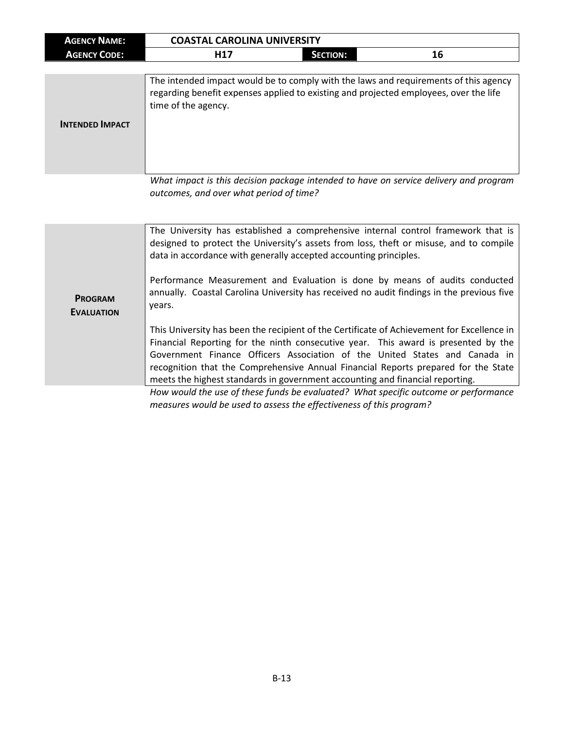| <b>AGENCY NAME:</b> | <b>COASTAL CAROLINA UNIVERSITY</b> |          |    |
|---------------------|------------------------------------|----------|----|
| <b>AGENCY CODE:</b> | , , 47                             | SECTION: | щo |

| <b>INTENDED IMPACT</b> | The intended impact would be to comply with the laws and requirements of this agency<br>regarding benefit expenses applied to existing and projected employees, over the life<br>time of the agency. |
|------------------------|------------------------------------------------------------------------------------------------------------------------------------------------------------------------------------------------------|
|                        |                                                                                                                                                                                                      |

*What impact is this decision package intended to have on service delivery and program outcomes, and over what period of time?*

|                                     | The University has established a comprehensive internal control framework that is<br>designed to protect the University's assets from loss, theft or misuse, and to compile<br>data in accordance with generally accepted accounting principles.                                                                                                                                                                                      |
|-------------------------------------|---------------------------------------------------------------------------------------------------------------------------------------------------------------------------------------------------------------------------------------------------------------------------------------------------------------------------------------------------------------------------------------------------------------------------------------|
| <b>PROGRAM</b><br><b>EVALUATION</b> | Performance Measurement and Evaluation is done by means of audits conducted<br>annually. Coastal Carolina University has received no audit findings in the previous five<br>years.                                                                                                                                                                                                                                                    |
|                                     | This University has been the recipient of the Certificate of Achievement for Excellence in<br>Financial Reporting for the ninth consecutive year. This award is presented by the<br>Government Finance Officers Association of the United States and Canada in<br>recognition that the Comprehensive Annual Financial Reports prepared for the State<br>meets the highest standards in government accounting and financial reporting. |
|                                     | How would the use of these funds he evaluated? What specific outcome or performance                                                                                                                                                                                                                                                                                                                                                   |

*How would the use of these funds be evaluated? What specific outcome or performance measures would be used to assess the effectiveness of this program?*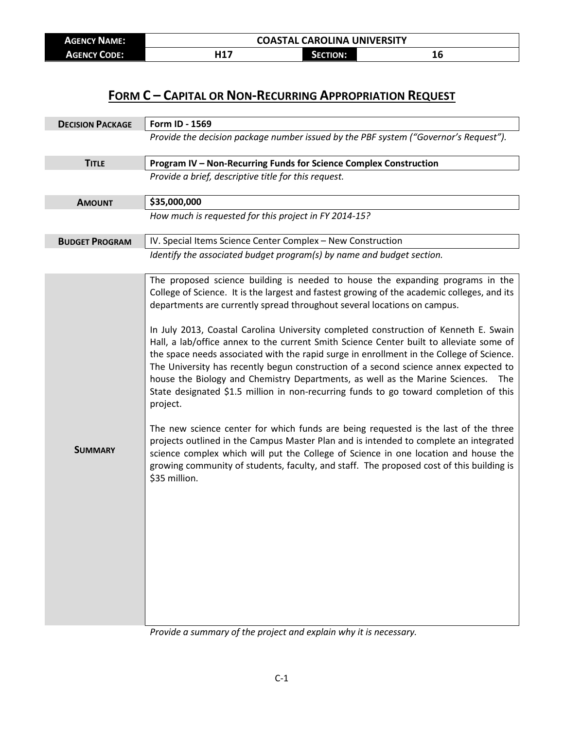| <b>AGENCY NAME:</b> | <b>COASTAL CAROLINA UNIVERSITY</b> |                 |    |
|---------------------|------------------------------------|-----------------|----|
| <b>AGENCY CODE:</b> | U 1 7                              | <b>SECTION:</b> | TΩ |

## **FORM C – CAPITAL OR NON-RECURRING APPROPRIATION REQUEST**

| <b>DECISION PACKAGE</b> | Form ID - 1569                                                                                                                                                                                                                                                                                                                                                                                                                                                                                                                                                                                                                                                                                                                                                                                                                                                                                                                                                                                                                                                                                                                                                                                                   |
|-------------------------|------------------------------------------------------------------------------------------------------------------------------------------------------------------------------------------------------------------------------------------------------------------------------------------------------------------------------------------------------------------------------------------------------------------------------------------------------------------------------------------------------------------------------------------------------------------------------------------------------------------------------------------------------------------------------------------------------------------------------------------------------------------------------------------------------------------------------------------------------------------------------------------------------------------------------------------------------------------------------------------------------------------------------------------------------------------------------------------------------------------------------------------------------------------------------------------------------------------|
|                         | Provide the decision package number issued by the PBF system ("Governor's Request").                                                                                                                                                                                                                                                                                                                                                                                                                                                                                                                                                                                                                                                                                                                                                                                                                                                                                                                                                                                                                                                                                                                             |
| <b>TITLE</b>            | Program IV - Non-Recurring Funds for Science Complex Construction                                                                                                                                                                                                                                                                                                                                                                                                                                                                                                                                                                                                                                                                                                                                                                                                                                                                                                                                                                                                                                                                                                                                                |
|                         | Provide a brief, descriptive title for this request.                                                                                                                                                                                                                                                                                                                                                                                                                                                                                                                                                                                                                                                                                                                                                                                                                                                                                                                                                                                                                                                                                                                                                             |
| <b>AMOUNT</b>           | \$35,000,000                                                                                                                                                                                                                                                                                                                                                                                                                                                                                                                                                                                                                                                                                                                                                                                                                                                                                                                                                                                                                                                                                                                                                                                                     |
|                         | How much is requested for this project in FY 2014-15?                                                                                                                                                                                                                                                                                                                                                                                                                                                                                                                                                                                                                                                                                                                                                                                                                                                                                                                                                                                                                                                                                                                                                            |
| <b>BUDGET PROGRAM</b>   | IV. Special Items Science Center Complex - New Construction                                                                                                                                                                                                                                                                                                                                                                                                                                                                                                                                                                                                                                                                                                                                                                                                                                                                                                                                                                                                                                                                                                                                                      |
|                         | Identify the associated budget program(s) by name and budget section.                                                                                                                                                                                                                                                                                                                                                                                                                                                                                                                                                                                                                                                                                                                                                                                                                                                                                                                                                                                                                                                                                                                                            |
| <b>SUMMARY</b>          | The proposed science building is needed to house the expanding programs in the<br>College of Science. It is the largest and fastest growing of the academic colleges, and its<br>departments are currently spread throughout several locations on campus.<br>In July 2013, Coastal Carolina University completed construction of Kenneth E. Swain<br>Hall, a lab/office annex to the current Smith Science Center built to alleviate some of<br>the space needs associated with the rapid surge in enrollment in the College of Science.<br>The University has recently begun construction of a second science annex expected to<br>house the Biology and Chemistry Departments, as well as the Marine Sciences.<br>The<br>State designated \$1.5 million in non-recurring funds to go toward completion of this<br>project.<br>The new science center for which funds are being requested is the last of the three<br>projects outlined in the Campus Master Plan and is intended to complete an integrated<br>science complex which will put the College of Science in one location and house the<br>growing community of students, faculty, and staff. The proposed cost of this building is<br>\$35 million. |

*Provide a summary of the project and explain why it is necessary.*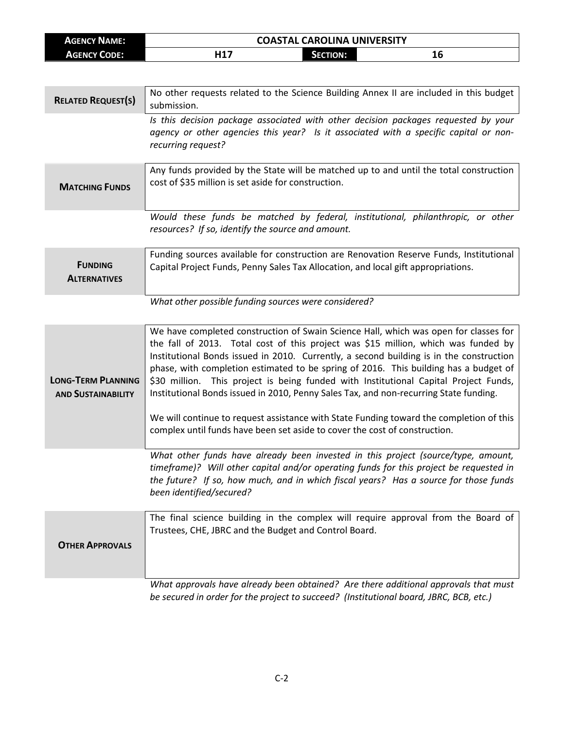| <b>AGENCY NAME:</b> | <b>COASTAL CAROLINA UNIVERSITY</b> |                 |    |  |
|---------------------|------------------------------------|-----------------|----|--|
| AGENCY CODE:        | ᆈ17                                | <b>SECTION:</b> | 16 |  |

| <b>RELATED REQUEST(S)</b>                              | No other requests related to the Science Building Annex II are included in this budget<br>submission.                                                                                                                                                                                                                                                                                                                                                                                                                                                                                                                                                                                                                   |
|--------------------------------------------------------|-------------------------------------------------------------------------------------------------------------------------------------------------------------------------------------------------------------------------------------------------------------------------------------------------------------------------------------------------------------------------------------------------------------------------------------------------------------------------------------------------------------------------------------------------------------------------------------------------------------------------------------------------------------------------------------------------------------------------|
|                                                        | Is this decision package associated with other decision packages requested by your<br>agency or other agencies this year? Is it associated with a specific capital or non-<br>recurring request?                                                                                                                                                                                                                                                                                                                                                                                                                                                                                                                        |
| <b>MATCHING FUNDS</b>                                  | Any funds provided by the State will be matched up to and until the total construction<br>cost of \$35 million is set aside for construction.                                                                                                                                                                                                                                                                                                                                                                                                                                                                                                                                                                           |
|                                                        | Would these funds be matched by federal, institutional, philanthropic, or other<br>resources? If so, identify the source and amount.                                                                                                                                                                                                                                                                                                                                                                                                                                                                                                                                                                                    |
| <b>FUNDING</b><br><b>ALTERNATIVES</b>                  | Funding sources available for construction are Renovation Reserve Funds, Institutional<br>Capital Project Funds, Penny Sales Tax Allocation, and local gift appropriations.                                                                                                                                                                                                                                                                                                                                                                                                                                                                                                                                             |
|                                                        | What other possible funding sources were considered?                                                                                                                                                                                                                                                                                                                                                                                                                                                                                                                                                                                                                                                                    |
| <b>LONG-TERM PLANNING</b><br><b>AND SUSTAINABILITY</b> | We have completed construction of Swain Science Hall, which was open for classes for<br>the fall of 2013. Total cost of this project was \$15 million, which was funded by<br>Institutional Bonds issued in 2010. Currently, a second building is in the construction<br>phase, with completion estimated to be spring of 2016. This building has a budget of<br>\$30 million. This project is being funded with Institutional Capital Project Funds,<br>Institutional Bonds issued in 2010, Penny Sales Tax, and non-recurring State funding.<br>We will continue to request assistance with State Funding toward the completion of this<br>complex until funds have been set aside to cover the cost of construction. |
|                                                        | What other funds have already been invested in this project (source/type, amount,<br>timeframe)? Will other capital and/or operating funds for this project be requested in<br>the future? If so, how much, and in which fiscal years? Has a source for those funds<br>been identified/secured?                                                                                                                                                                                                                                                                                                                                                                                                                         |
| <b>OTHER APPROVALS</b>                                 | The final science building in the complex will require approval from the Board of<br>Trustees, CHE, JBRC and the Budget and Control Board.                                                                                                                                                                                                                                                                                                                                                                                                                                                                                                                                                                              |
|                                                        | What approvals have already been obtained? Are there additional approvals that must<br>be secured in order for the project to succeed? (Institutional board, JBRC, BCB, etc.)                                                                                                                                                                                                                                                                                                                                                                                                                                                                                                                                           |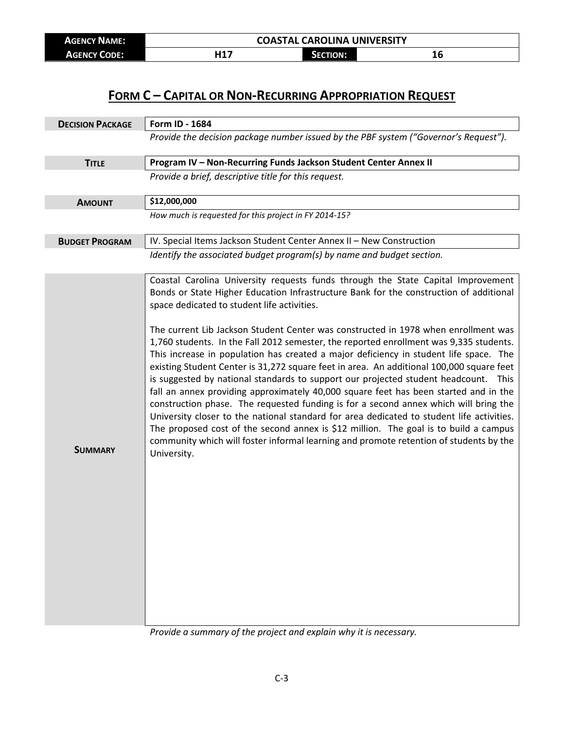| <b>AGENCY NAME:</b> | <b>COASTAL CAROLINA UNIVERSITY</b> |                 |    |
|---------------------|------------------------------------|-----------------|----|
| <b>AGENCY CODE:</b> | J 1 7                              | <b>SECTION:</b> | 4V |

## **FORM C – CAPITAL OR NON-RECURRING APPROPRIATION REQUEST**

| <b>DECISION PACKAGE</b> | Form ID - 1684                                                                                                                                                                                                                                                                                                                                                                                                                                                                                                                                                                                                                                                                                                                                                                                                                                                                                                                                                                                                                                                                                                                                                         |
|-------------------------|------------------------------------------------------------------------------------------------------------------------------------------------------------------------------------------------------------------------------------------------------------------------------------------------------------------------------------------------------------------------------------------------------------------------------------------------------------------------------------------------------------------------------------------------------------------------------------------------------------------------------------------------------------------------------------------------------------------------------------------------------------------------------------------------------------------------------------------------------------------------------------------------------------------------------------------------------------------------------------------------------------------------------------------------------------------------------------------------------------------------------------------------------------------------|
|                         | Provide the decision package number issued by the PBF system ("Governor's Request").                                                                                                                                                                                                                                                                                                                                                                                                                                                                                                                                                                                                                                                                                                                                                                                                                                                                                                                                                                                                                                                                                   |
| <b>TITLE</b>            | Program IV - Non-Recurring Funds Jackson Student Center Annex II                                                                                                                                                                                                                                                                                                                                                                                                                                                                                                                                                                                                                                                                                                                                                                                                                                                                                                                                                                                                                                                                                                       |
|                         | Provide a brief, descriptive title for this request.                                                                                                                                                                                                                                                                                                                                                                                                                                                                                                                                                                                                                                                                                                                                                                                                                                                                                                                                                                                                                                                                                                                   |
| <b>AMOUNT</b>           | \$12,000,000                                                                                                                                                                                                                                                                                                                                                                                                                                                                                                                                                                                                                                                                                                                                                                                                                                                                                                                                                                                                                                                                                                                                                           |
|                         | How much is requested for this project in FY 2014-15?                                                                                                                                                                                                                                                                                                                                                                                                                                                                                                                                                                                                                                                                                                                                                                                                                                                                                                                                                                                                                                                                                                                  |
| <b>BUDGET PROGRAM</b>   | IV. Special Items Jackson Student Center Annex II - New Construction                                                                                                                                                                                                                                                                                                                                                                                                                                                                                                                                                                                                                                                                                                                                                                                                                                                                                                                                                                                                                                                                                                   |
|                         | Identify the associated budget program(s) by name and budget section.                                                                                                                                                                                                                                                                                                                                                                                                                                                                                                                                                                                                                                                                                                                                                                                                                                                                                                                                                                                                                                                                                                  |
| <b>SUMMARY</b>          | Coastal Carolina University requests funds through the State Capital Improvement<br>Bonds or State Higher Education Infrastructure Bank for the construction of additional<br>space dedicated to student life activities.<br>The current Lib Jackson Student Center was constructed in 1978 when enrollment was<br>1,760 students. In the Fall 2012 semester, the reported enrollment was 9,335 students.<br>This increase in population has created a major deficiency in student life space. The<br>existing Student Center is 31,272 square feet in area. An additional 100,000 square feet<br>is suggested by national standards to support our projected student headcount.<br>This<br>fall an annex providing approximately 40,000 square feet has been started and in the<br>construction phase. The requested funding is for a second annex which will bring the<br>University closer to the national standard for area dedicated to student life activities.<br>The proposed cost of the second annex is \$12 million. The goal is to build a campus<br>community which will foster informal learning and promote retention of students by the<br>University. |

*Provide a summary of the project and explain why it is necessary.*